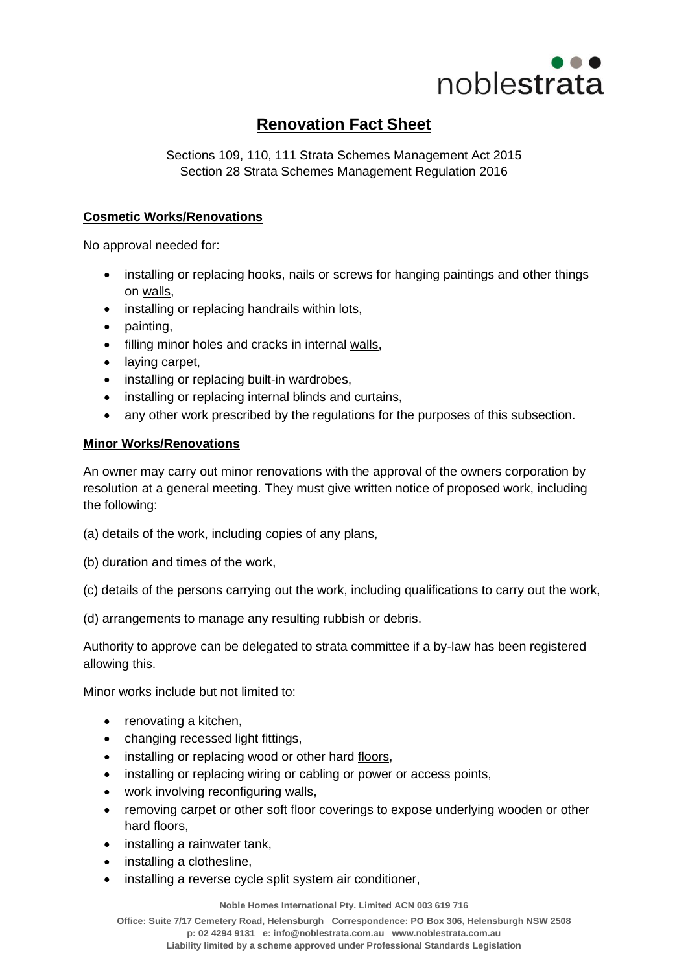

## **Renovation Fact Sheet**

Sections 109, 110, 111 Strata Schemes Management Act 2015 Section 28 Strata Schemes Management Regulation 2016

## **Cosmetic Works/Renovations**

No approval needed for:

- installing or replacing hooks, nails or screws for hanging paintings and other things on [walls,](http://www.austlii.edu.au/au/legis/nsw/consol_act/ssma2015242/s4.html#wall)
- installing or replacing handrails within lots,
- painting,
- filling minor holes and cracks in internal [walls,](http://www.austlii.edu.au/au/legis/nsw/consol_act/ssma2015242/s4.html#wall)
- laving carpet.
- installing or replacing built-in wardrobes,
- installing or replacing internal blinds and curtains,
- any other work prescribed by the regulations for the purposes of this subsection.

## **Minor Works/Renovations**

An owner may carry out [minor renovations](http://www.austlii.edu.au/au/legis/nsw/consol_act/ssma2015242/s110.html#minor_renovations) with the approval of the [owners corporation](http://www.austlii.edu.au/au/legis/nsw/consol_act/ssma2015242/s4.html#owners_corporation) by resolution at a general meeting. They must give written notice of proposed work, including the following:

(a) details of the work, including copies of any plans,

(b) duration and times of the work,

(c) details of the persons carrying out the work, including qualifications to carry out the work,

(d) arrangements to manage any resulting rubbish or debris.

Authority to approve can be delegated to strata committee if a by-law has been registered allowing this.

Minor works include but not limited to:

- renovating a kitchen,
- changing recessed light fittings,
- installing or replacing wood or other hard [floors,](http://www.austlii.edu.au/au/legis/nsw/consol_act/ssma2015242/s4.html#floor)
- installing or replacing wiring or cabling or power or access points,
- work involving reconfiguring [walls,](http://www.austlii.edu.au/au/legis/nsw/consol_act/ssma2015242/s4.html#wall)
- removing carpet or other soft floor coverings to expose underlying wooden or other hard floors,
- installing a rainwater tank,
- installing a clothesline,
- installing a reverse cycle split system air conditioner,

**Noble Homes International Pty. Limited ACN 003 619 716**

**Office: Suite 7/17 Cemetery Road, Helensburgh Correspondence: PO Box 306, Helensburgh NSW 2508 p: 02 4294 9131 e[: info@noblestrata.com.au](mailto:info@noblestrata.com.au) [www.noblestrata.com.au](http://www.noblestrata.com.au/) Liability limited by a scheme approved under Professional Standards Legislation**